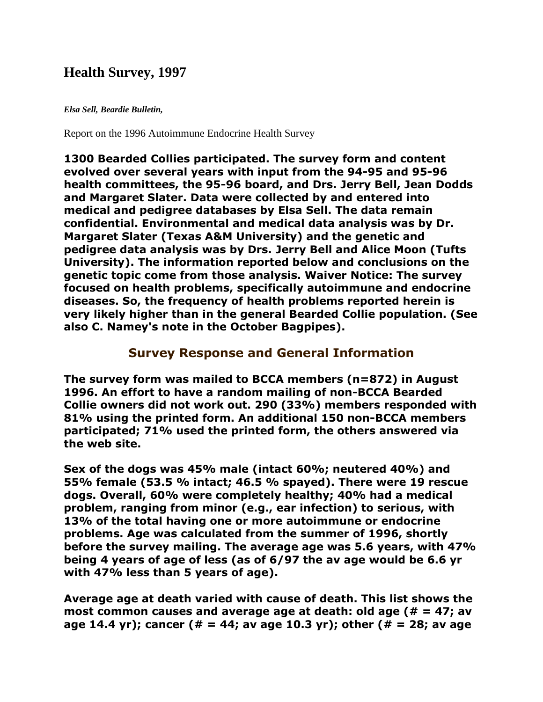# **Health Survey, 1997**

#### *Elsa Sell, Beardie Bulletin,*

Report on the 1996 Autoimmune Endocrine Health Survey

**1300 Bearded Collies participated. The survey form and content evolved over several years with input from the 94-95 and 95-96 health committees, the 95-96 board, and Drs. Jerry Bell, Jean Dodds and Margaret Slater. Data were collected by and entered into medical and pedigree databases by Elsa Sell. The data remain confidential. Environmental and medical data analysis was by Dr. Margaret Slater (Texas A&M University) and the genetic and pedigree data analysis was by Drs. Jerry Bell and Alice Moon (Tufts University). The information reported below and conclusions on the genetic topic come from those analysis. Waiver Notice: The survey focused on health problems, specifically autoimmune and endocrine diseases. So, the frequency of health problems reported herein is very likely higher than in the general Bearded Collie population. (See also C. Namey's note in the October Bagpipes).**

### **Survey Response and General Information**

**The survey form was mailed to BCCA members (n=872) in August 1996. An effort to have a random mailing of non-BCCA Bearded Collie owners did not work out. 290 (33%) members responded with 81% using the printed form. An additional 150 non-BCCA members participated; 71% used the printed form, the others answered via the web site.**

**Sex of the dogs was 45% male (intact 60%; neutered 40%) and 55% female (53.5 % intact; 46.5 % spayed). There were 19 rescue dogs. Overall, 60% were completely healthy; 40% had a medical problem, ranging from minor (e.g., ear infection) to serious, with 13% of the total having one or more autoimmune or endocrine problems. Age was calculated from the summer of 1996, shortly before the survey mailing. The average age was 5.6 years, with 47% being 4 years of age of less (as of 6/97 the av age would be 6.6 yr with 47% less than 5 years of age).**

**Average age at death varied with cause of death. This list shows the most common causes and average age at death: old age (# = 47; av age 14.4 yr); cancer (# = 44; av age 10.3 yr); other (# = 28; av age**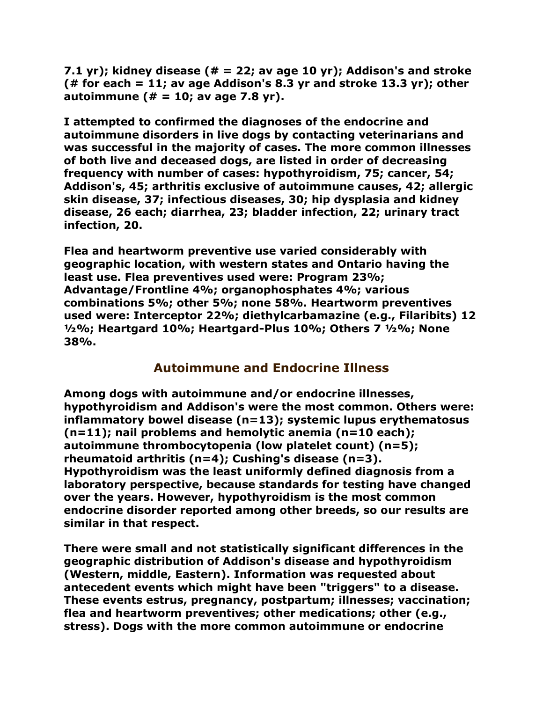**7.1 yr); kidney disease (# = 22; av age 10 yr); Addison's and stroke (# for each = 11; av age Addison's 8.3 yr and stroke 13.3 yr); other autoimmune (# = 10; av age 7.8 yr).**

**I attempted to confirmed the diagnoses of the endocrine and autoimmune disorders in live dogs by contacting veterinarians and was successful in the majority of cases. The more common illnesses of both live and deceased dogs, are listed in order of decreasing frequency with number of cases: hypothyroidism, 75; cancer, 54; Addison's, 45; arthritis exclusive of autoimmune causes, 42; allergic skin disease, 37; infectious diseases, 30; hip dysplasia and kidney disease, 26 each; diarrhea, 23; bladder infection, 22; urinary tract infection, 20.**

**Flea and heartworm preventive use varied considerably with geographic location, with western states and Ontario having the least use. Flea preventives used were: Program 23%; Advantage/Frontline 4%; organophosphates 4%; various combinations 5%; other 5%; none 58%. Heartworm preventives used were: Interceptor 22%; diethylcarbamazine (e.g., Filaribits) 12 ½%; Heartgard 10%; Heartgard-Plus 10%; Others 7 ½%; None 38%.**

## **Autoimmune and Endocrine Illness**

**Among dogs with autoimmune and/or endocrine illnesses, hypothyroidism and Addison's were the most common. Others were: inflammatory bowel disease (n=13); systemic lupus erythematosus (n=11); nail problems and hemolytic anemia (n=10 each); autoimmune thrombocytopenia (low platelet count) (n=5); rheumatoid arthritis (n=4); Cushing's disease (n=3). Hypothyroidism was the least uniformly defined diagnosis from a laboratory perspective, because standards for testing have changed over the years. However, hypothyroidism is the most common endocrine disorder reported among other breeds, so our results are similar in that respect.**

**There were small and not statistically significant differences in the geographic distribution of Addison's disease and hypothyroidism (Western, middle, Eastern). Information was requested about antecedent events which might have been "triggers" to a disease. These events estrus, pregnancy, postpartum; illnesses; vaccination; flea and heartworm preventives; other medications; other (e.g., stress). Dogs with the more common autoimmune or endocrine**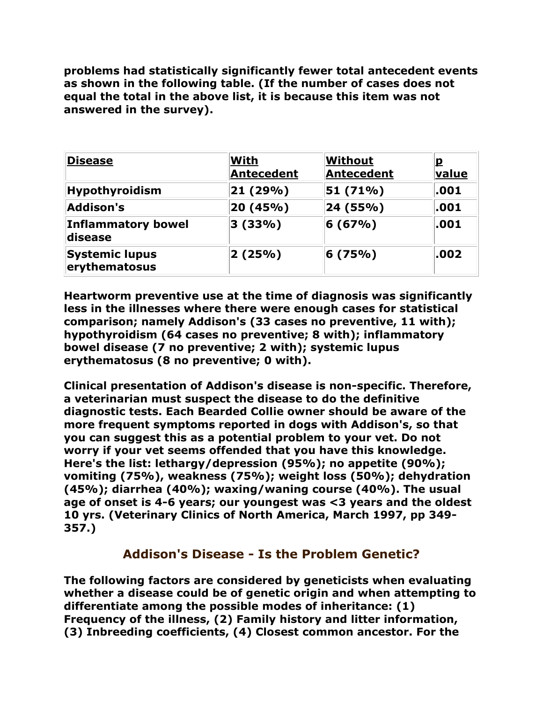**problems had statistically significantly fewer total antecedent events as shown in the following table. (If the number of cases does not equal the total in the above list, it is because this item was not answered in the survey).**

| <b>Disease</b>                         | <b>With</b><br><b>Antecedent</b> | Without<br>Antecedent | <u>p</u><br>value |
|----------------------------------------|----------------------------------|-----------------------|-------------------|
| Hypothyroidism                         | 21 (29%)                         | $ 51(71\%)$           | .001              |
| <b>Addison's</b>                       | 20 (45%)                         | 24 (55%)              | .001              |
| <b>Inflammatory bowel</b><br>disease   | 3(33%)                           | 6(67%)                | .001              |
| <b>Systemic lupus</b><br>erythematosus | 2(25%)                           | 6(75%)                | .002              |

**Heartworm preventive use at the time of diagnosis was significantly less in the illnesses where there were enough cases for statistical comparison; namely Addison's (33 cases no preventive, 11 with); hypothyroidism (64 cases no preventive; 8 with); inflammatory bowel disease (7 no preventive; 2 with); systemic lupus erythematosus (8 no preventive; 0 with).**

**Clinical presentation of Addison's disease is non-specific. Therefore, a veterinarian must suspect the disease to do the definitive diagnostic tests. Each Bearded Collie owner should be aware of the more frequent symptoms reported in dogs with Addison's, so that you can suggest this as a potential problem to your vet. Do not worry if your vet seems offended that you have this knowledge. Here's the list: lethargy/depression (95%); no appetite (90%); vomiting (75%), weakness (75%); weight loss (50%); dehydration (45%); diarrhea (40%); waxing/waning course (40%). The usual age of onset is 4-6 years; our youngest was <3 years and the oldest 10 yrs. (Veterinary Clinics of North America, March 1997, pp 349- 357.)**

## **Addison's Disease - Is the Problem Genetic?**

**The following factors are considered by geneticists when evaluating whether a disease could be of genetic origin and when attempting to differentiate among the possible modes of inheritance: (1) Frequency of the illness, (2) Family history and litter information, (3) Inbreeding coefficients, (4) Closest common ancestor. For the**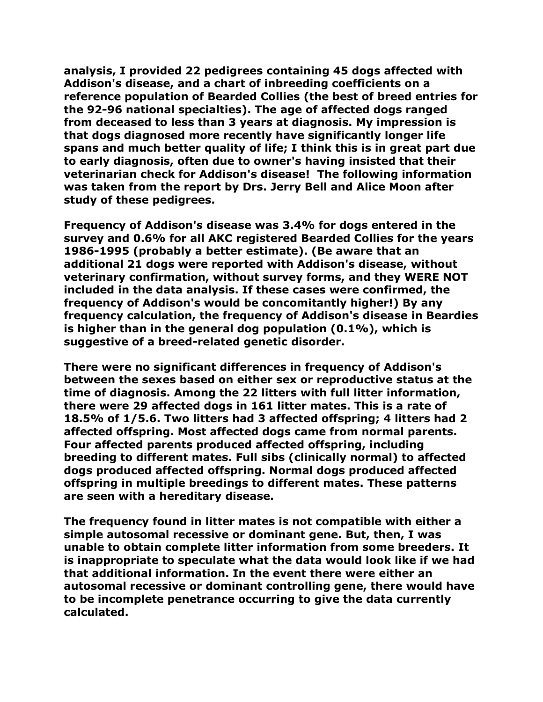**analysis, I provided 22 pedigrees containing 45 dogs affected with Addison's disease, and a chart of inbreeding coefficients on a reference population of Bearded Collies (the best of breed entries for the 92-96 national specialties). The age of affected dogs ranged from deceased to less than 3 years at diagnosis. My impression is that dogs diagnosed more recently have significantly longer life spans and much better quality of life; I think this is in great part due to early diagnosis, often due to owner's having insisted that their veterinarian check for Addison's disease! The following information was taken from the report by Drs. Jerry Bell and Alice Moon after study of these pedigrees.**

**Frequency of Addison's disease was 3.4% for dogs entered in the survey and 0.6% for all AKC registered Bearded Collies for the years 1986-1995 (probably a better estimate). (Be aware that an additional 21 dogs were reported with Addison's disease, without veterinary confirmation, without survey forms, and they WERE NOT included in the data analysis. If these cases were confirmed, the frequency of Addison's would be concomitantly higher!) By any frequency calculation, the frequency of Addison's disease in Beardies is higher than in the general dog population (0.1%), which is suggestive of a breed-related genetic disorder.**

**There were no significant differences in frequency of Addison's between the sexes based on either sex or reproductive status at the time of diagnosis. Among the 22 litters with full litter information, there were 29 affected dogs in 161 litter mates. This is a rate of 18.5% of 1/5.6. Two litters had 3 affected offspring; 4 litters had 2 affected offspring. Most affected dogs came from normal parents. Four affected parents produced affected offspring, including breeding to different mates. Full sibs (clinically normal) to affected dogs produced affected offspring. Normal dogs produced affected offspring in multiple breedings to different mates. These patterns are seen with a hereditary disease.**

**The frequency found in litter mates is not compatible with either a simple autosomal recessive or dominant gene. But, then, I was unable to obtain complete litter information from some breeders. It is inappropriate to speculate what the data would look like if we had that additional information. In the event there were either an autosomal recessive or dominant controlling gene, there would have to be incomplete penetrance occurring to give the data currently calculated.**